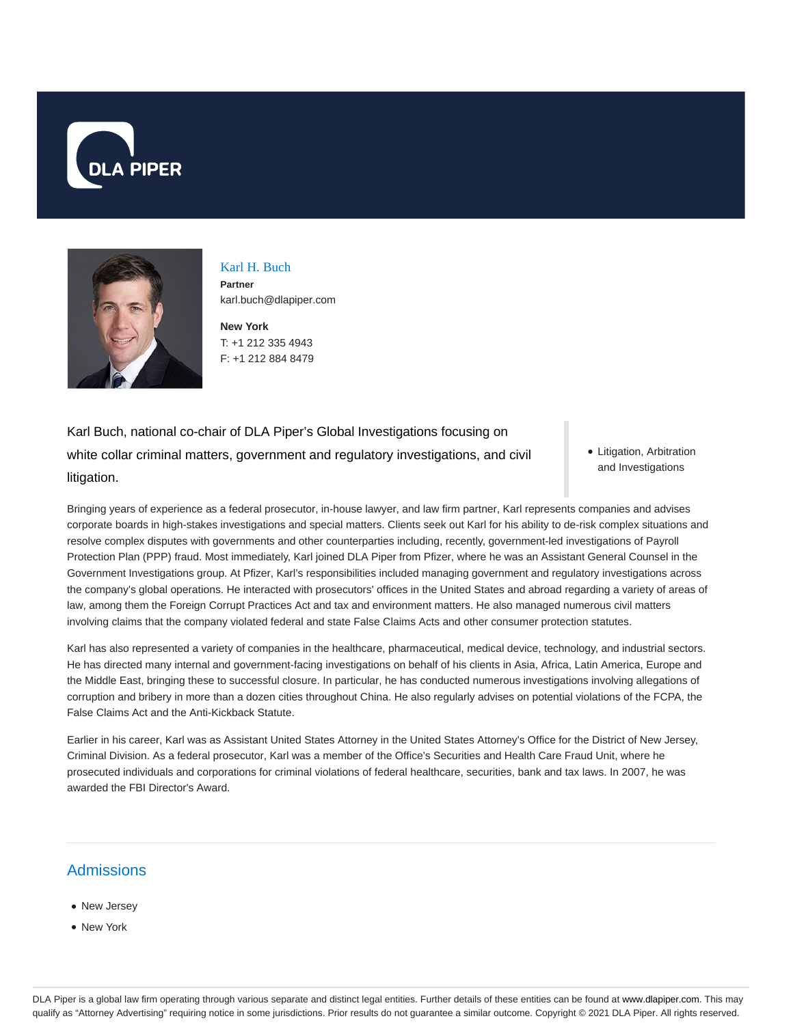



Karl H. Buch **Partner** karl.buch@dlapiper.com

**New York** T: +1 212 335 4943 F: +1 212 884 8479

Karl Buch, national co-chair of DLA Piper's Global Investigations focusing on white collar criminal matters, government and regulatory investigations, and civil litigation.

• Litigation, Arbitration and Investigations

Bringing years of experience as a federal prosecutor, in-house lawyer, and law firm partner, Karl represents companies and advises corporate boards in high-stakes investigations and special matters. Clients seek out Karl for his ability to de-risk complex situations and resolve complex disputes with governments and other counterparties including, recently, government-led investigations of Payroll Protection Plan (PPP) fraud. Most immediately, Karl joined DLA Piper from Pfizer, where he was an Assistant General Counsel in the Government Investigations group. At Pfizer, Karl's responsibilities included managing government and regulatory investigations across the company's global operations. He interacted with prosecutors' offices in the United States and abroad regarding a variety of areas of law, among them the Foreign Corrupt Practices Act and tax and environment matters. He also managed numerous civil matters involving claims that the company violated federal and state False Claims Acts and other consumer protection statutes.

Karl has also represented a variety of companies in the healthcare, pharmaceutical, medical device, technology, and industrial sectors. He has directed many internal and government-facing investigations on behalf of his clients in Asia, Africa, Latin America, Europe and the Middle East, bringing these to successful closure. In particular, he has conducted numerous investigations involving allegations of corruption and bribery in more than a dozen cities throughout China. He also regularly advises on potential violations of the FCPA, the False Claims Act and the Anti-Kickback Statute.

Earlier in his career, Karl was as Assistant United States Attorney in the United States Attorney's Office for the District of New Jersey, Criminal Division. As a federal prosecutor, Karl was a member of the Office's Securities and Health Care Fraud Unit, where he prosecuted individuals and corporations for criminal violations of federal healthcare, securities, bank and tax laws. In 2007, he was awarded the FBI Director's Award.

# **Admissions**

- New Jersey • New York
- 

DLA Piper is a global law firm operating through various separate and distinct legal entities. Further details of these entities can be found at www.dlapiper.com. This may qualify as "Attorney Advertising" requiring notice in some jurisdictions. Prior results do not guarantee a similar outcome. Copyright @ 2021 DLA Piper. All rights reserved.